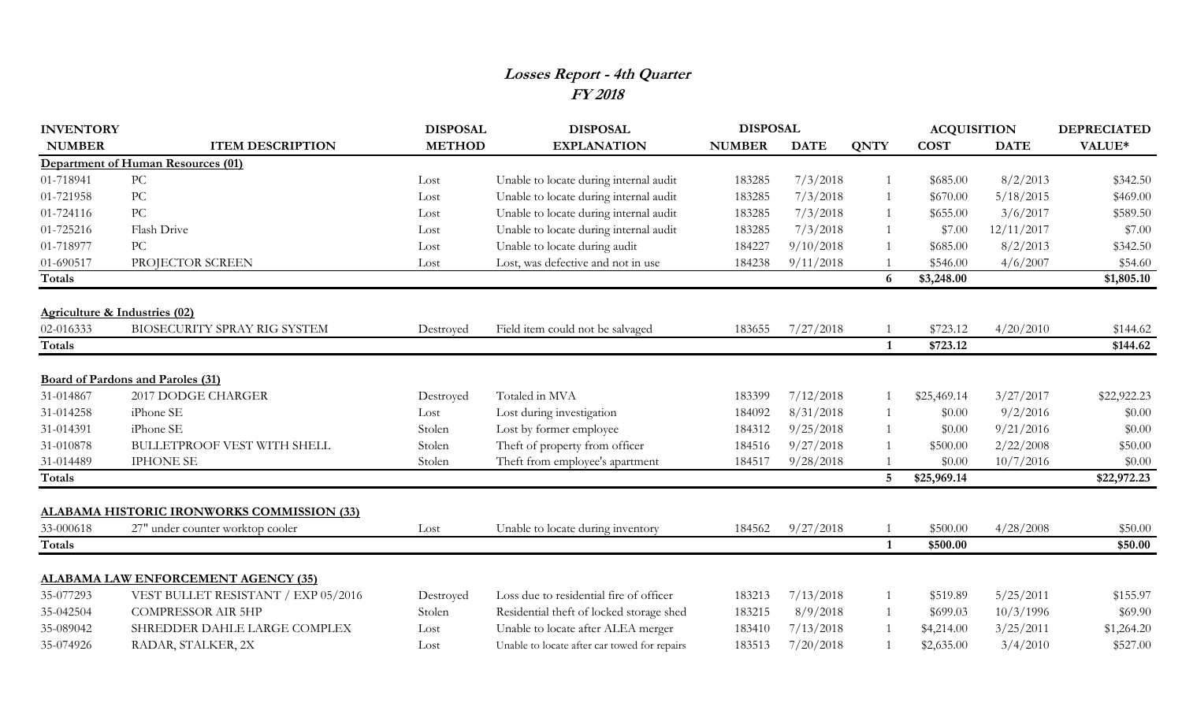## **Losses Report - 4th Quarter FY 2018**

| <b>INVENTORY</b>              |                                                   | <b>DISPOSAL</b> | <b>DISPOSAL</b>                              | <b>DISPOSAL</b> |             |                | <b>ACQUISITION</b> |             | <b>DEPRECIATED</b> |
|-------------------------------|---------------------------------------------------|-----------------|----------------------------------------------|-----------------|-------------|----------------|--------------------|-------------|--------------------|
| <b>NUMBER</b>                 | <b>ITEM DESCRIPTION</b>                           | <b>METHOD</b>   | <b>EXPLANATION</b>                           | <b>NUMBER</b>   | <b>DATE</b> | <b>QNTY</b>    | <b>COST</b>        | <b>DATE</b> | VALUE*             |
|                               | Department of Human Resources (01)                |                 |                                              |                 |             |                |                    |             |                    |
| 01-718941                     | PC                                                | Lost            | Unable to locate during internal audit       | 183285          | 7/3/2018    |                | \$685.00           | 8/2/2013    | \$342.50           |
| 01-721958                     | $\rm{PC}$                                         | Lost            | Unable to locate during internal audit       | 183285          | 7/3/2018    |                | \$670.00           | 5/18/2015   | \$469.00           |
| 01-724116                     | PC                                                | Lost            | Unable to locate during internal audit       | 183285          | 7/3/2018    |                | \$655.00           | 3/6/2017    | \$589.50           |
| 01-725216                     | Flash Drive                                       | Lost            | Unable to locate during internal audit       | 183285          | 7/3/2018    |                | \$7.00             | 12/11/2017  | \$7.00             |
| 01-718977                     | PC                                                | Lost            | Unable to locate during audit                | 184227          | 9/10/2018   |                | \$685.00           | 8/2/2013    | \$342.50           |
| 01-690517                     | PROJECTOR SCREEN                                  | Lost            | Lost, was defective and not in use           | 184238          | 9/11/2018   |                | \$546.00           | 4/6/2007    | \$54.60            |
| Totals                        |                                                   |                 |                                              |                 |             | 6              | \$3,248.00         |             | \$1,805.10         |
| Agriculture & Industries (02) |                                                   |                 |                                              |                 |             |                |                    |             |                    |
| 02-016333                     | BIOSECURITY SPRAY RIG SYSTEM                      | Destroyed       | Field item could not be salvaged             | 183655          | 7/27/2018   |                | \$723.12           | 4/20/2010   | \$144.62           |
| Totals                        |                                                   |                 |                                              |                 |             | $\mathbf{1}$   | \$723.12           |             | \$144.62           |
|                               | <b>Board of Pardons and Paroles (31)</b>          |                 |                                              |                 |             |                |                    |             |                    |
| 31-014867                     | 2017 DODGE CHARGER                                | Destroyed       | Totaled in MVA                               | 183399          | 7/12/2018   |                | \$25,469.14        | 3/27/2017   | \$22,922.23        |
| 31-014258                     | iPhone SE                                         | Lost            | Lost during investigation                    | 184092          | 8/31/2018   |                | \$0.00             | 9/2/2016    | \$0.00             |
| 31-014391                     | iPhone SE                                         | Stolen          | Lost by former employee                      | 184312          | 9/25/2018   |                | \$0.00             | 9/21/2016   | \$0.00             |
| 31-010878                     | <b>BULLETPROOF VEST WITH SHELL</b>                | Stolen          | Theft of property from officer               | 184516          | 9/27/2018   |                | \$500.00           | 2/22/2008   | \$50.00            |
| 31-014489                     | <b>IPHONE SE</b>                                  | Stolen          | Theft from employee's apartment              | 184517          | 9/28/2018   |                | \$0.00             | 10/7/2016   | \$0.00             |
| <b>Totals</b>                 |                                                   |                 |                                              |                 |             | $5\phantom{1}$ | \$25,969.14        |             | \$22,972.23        |
|                               | <b>ALABAMA HISTORIC IRONWORKS COMMISSION (33)</b> |                 |                                              |                 |             |                |                    |             |                    |
| 33-000618                     | 27" under counter worktop cooler                  | Lost            | Unable to locate during inventory            | 184562          | 9/27/2018   |                | \$500.00           | 4/28/2008   | \$50.00            |
| <b>Totals</b>                 |                                                   |                 |                                              |                 |             | $\mathbf{1}$   | \$500.00           |             | \$50.00            |
|                               | <b>ALABAMA LAW ENFORCEMENT AGENCY (35)</b>        |                 |                                              |                 |             |                |                    |             |                    |
| 35-077293                     | VEST BULLET RESISTANT / EXP 05/2016               | Destroyed       | Loss due to residential fire of officer      | 183213          | 7/13/2018   |                | \$519.89           | 5/25/2011   | \$155.97           |
| 35-042504                     | <b>COMPRESSOR AIR 5HP</b>                         | Stolen          | Residential theft of locked storage shed     | 183215          | 8/9/2018    |                | \$699.03           | 10/3/1996   | \$69.90            |
| 35-089042                     | SHREDDER DAHLE LARGE COMPLEX                      | Lost            | Unable to locate after ALEA merger           | 183410          | 7/13/2018   |                | \$4,214.00         | 3/25/2011   | \$1,264.20         |
| 35-074926                     | RADAR, STALKER, 2X                                | Lost            | Unable to locate after car towed for repairs | 183513          | 7/20/2018   |                | \$2,635.00         | 3/4/2010    | \$527.00           |
|                               |                                                   |                 |                                              |                 |             |                |                    |             |                    |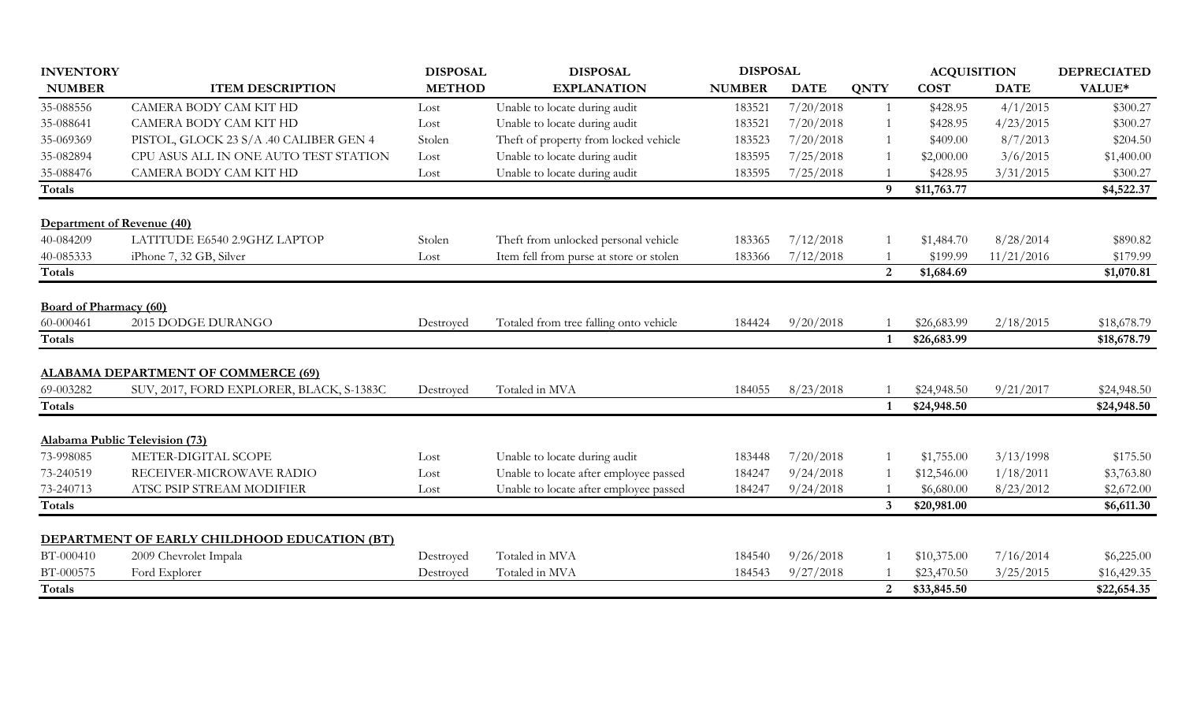| <b>INVENTORY</b>              |                                              | <b>DISPOSAL</b> | <b>DISPOSAL</b>                         | <b>DISPOSAL</b> |             |                | <b>ACQUISITION</b> | <b>DEPRECIATED</b> |             |
|-------------------------------|----------------------------------------------|-----------------|-----------------------------------------|-----------------|-------------|----------------|--------------------|--------------------|-------------|
| <b>NUMBER</b>                 | <b>ITEM DESCRIPTION</b>                      | <b>METHOD</b>   | <b>EXPLANATION</b>                      | <b>NUMBER</b>   | <b>DATE</b> | <b>QNTY</b>    | <b>COST</b>        | <b>DATE</b>        | VALUE*      |
| 35-088556                     | CAMERA BODY CAM KIT HD                       | Lost            | Unable to locate during audit           | 183521          | 7/20/2018   |                | \$428.95           | 4/1/2015           | \$300.27    |
| 35-088641                     | <b>CAMERA BODY CAM KIT HD</b>                | Lost            | Unable to locate during audit           | 183521          | 7/20/2018   |                | \$428.95           | 4/23/2015          | \$300.27    |
| 35-069369                     | PISTOL, GLOCK 23 S/A .40 CALIBER GEN 4       | Stolen          | Theft of property from locked vehicle   | 183523          | 7/20/2018   |                | \$409.00           | 8/7/2013           | \$204.50    |
| 35-082894                     | CPU ASUS ALL IN ONE AUTO TEST STATION        | Lost            | Unable to locate during audit           | 183595          | 7/25/2018   |                | \$2,000.00         | 3/6/2015           | \$1,400.00  |
| 35-088476                     | CAMERA BODY CAM KIT HD                       | Lost            | Unable to locate during audit           | 183595          | 7/25/2018   |                | \$428.95           | 3/31/2015          | \$300.27    |
| <b>Totals</b>                 |                                              |                 |                                         |                 |             | 9              | \$11,763.77        |                    | \$4,522.37  |
| Department of Revenue (40)    |                                              |                 |                                         |                 |             |                |                    |                    |             |
| 40-084209                     | LATITUDE E6540 2.9GHZ LAPTOP                 | Stolen          | Theft from unlocked personal vehicle    | 183365          | 7/12/2018   |                | \$1,484.70         | 8/28/2014          | \$890.82    |
| 40-085333                     | iPhone 7, 32 GB, Silver                      | Lost            | Item fell from purse at store or stolen | 183366          | 7/12/2018   |                | \$199.99           | 11/21/2016         | \$179.99    |
| <b>Totals</b>                 |                                              |                 |                                         |                 |             | $\overline{2}$ | \$1,684.69         |                    | \$1,070.81  |
| <b>Board of Pharmacy (60)</b> |                                              |                 |                                         |                 |             |                |                    |                    |             |
| 60-000461                     | 2015 DODGE DURANGO                           | Destroved       | Totaled from tree falling onto vehicle  | 184424          | 9/20/2018   |                | \$26,683.99        | 2/18/2015          | \$18,678.79 |
| <b>Totals</b>                 |                                              |                 |                                         |                 |             |                | \$26,683.99        |                    | \$18,678.79 |
|                               | <b>ALABAMA DEPARTMENT OF COMMERCE (69)</b>   |                 |                                         |                 |             |                |                    |                    |             |
| 69-003282                     | SUV, 2017, FORD EXPLORER, BLACK, S-1383C     | Destroyed       | Totaled in MVA                          | 184055          | 8/23/2018   |                | \$24,948.50        | 9/21/2017          | \$24,948.50 |
| <b>Totals</b>                 |                                              |                 |                                         |                 |             |                | \$24,948.50        |                    | \$24,948.50 |
|                               | Alabama Public Television (73)               |                 |                                         |                 |             |                |                    |                    |             |
| 73-998085                     | METER-DIGITAL SCOPE                          | Lost            | Unable to locate during audit           | 183448          | 7/20/2018   |                | \$1,755.00         | 3/13/1998          | \$175.50    |
| 73-240519                     | RECEIVER-MICROWAVE RADIO                     | Lost            | Unable to locate after employee passed  | 184247          | 9/24/2018   |                | \$12,546.00        | 1/18/2011          | \$3,763.80  |
| 73-240713                     | ATSC PSIP STREAM MODIFIER                    | Lost            | Unable to locate after employee passed  | 184247          | 9/24/2018   |                | \$6,680.00         | 8/23/2012          | \$2,672.00  |
| Totals                        |                                              |                 |                                         |                 |             | 3              | \$20,981.00        |                    | \$6,611.30  |
|                               | DEPARTMENT OF EARLY CHILDHOOD EDUCATION (BT) |                 |                                         |                 |             |                |                    |                    |             |
| BT-000410                     | 2009 Chevrolet Impala                        | Destroyed       | Totaled in MVA                          | 184540          | 9/26/2018   |                | \$10,375.00        | 7/16/2014          | \$6,225.00  |
| BT-000575                     | Ford Explorer                                | Destroyed       | Totaled in MVA                          | 184543          | 9/27/2018   |                | \$23,470.50        | 3/25/2015          | \$16,429.35 |
| <b>Totals</b>                 |                                              |                 |                                         |                 |             | $\overline{2}$ | \$33,845.50        |                    | \$22,654.35 |